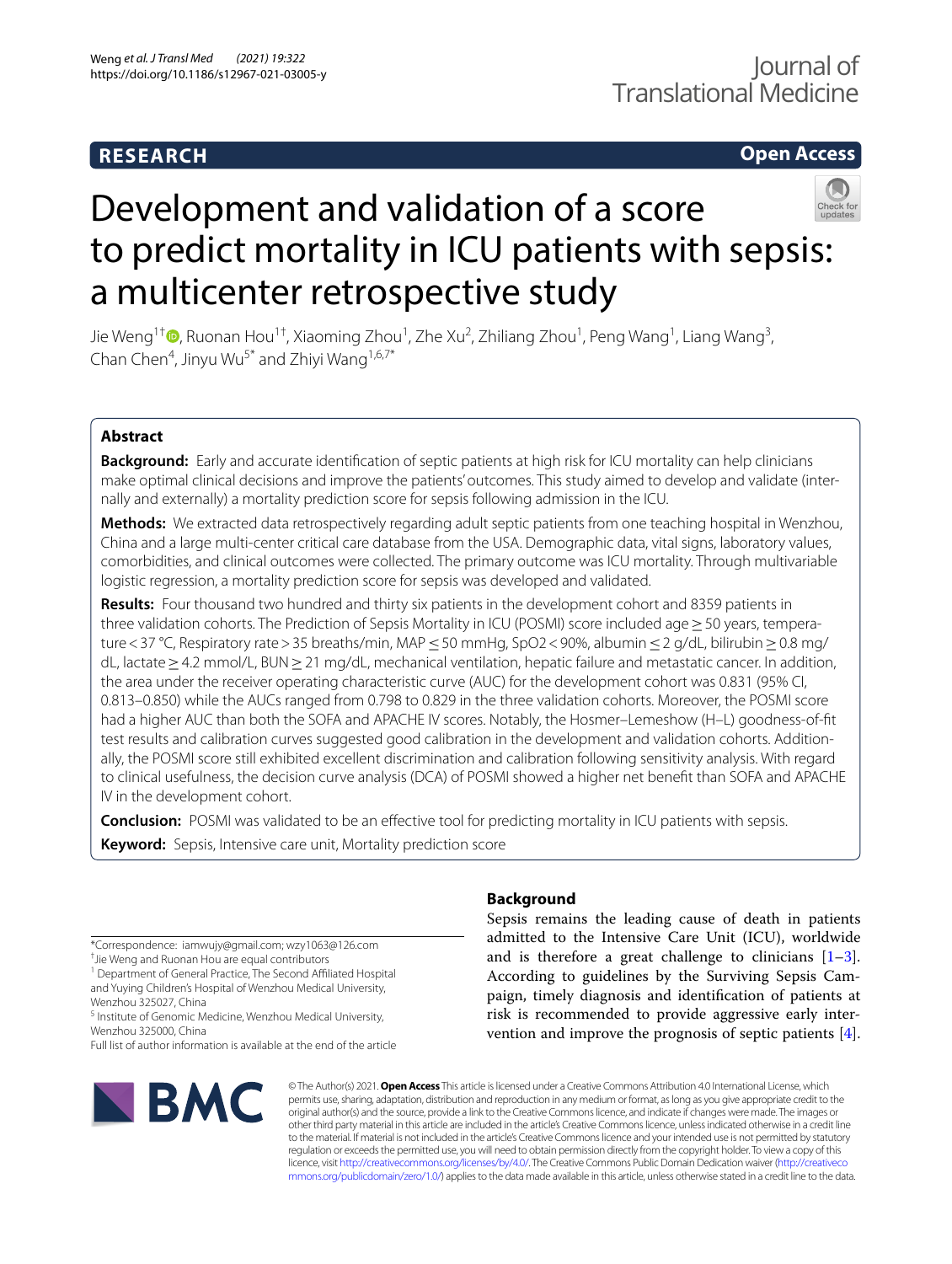# **RESEARCH**

# **Open Access**



# Development and validation of a score to predict mortality in ICU patients with sepsis: a multicenter retrospective study

Jie Weng<sup>1[†](http://orcid.org/0000-0003-1859-9309)</sup>ື , Ruonan Hou<sup>1†</sup>, Xiaoming Zhou<sup>1</sup>, Zhe Xu<sup>2</sup>, Zhiliang Zhou<sup>1</sup>, Peng Wang<sup>1</sup>, Liang Wang<sup>3</sup>, Chan Chen<sup>4</sup>, Jinyu Wu<sup>5\*</sup> and Zhiyi Wang<sup>1,6,7\*</sup>

# **Abstract**

**Background:** Early and accurate identifcation of septic patients at high risk for ICU mortality can help clinicians make optimal clinical decisions and improve the patients' outcomes. This study aimed to develop and validate (internally and externally) a mortality prediction score for sepsis following admission in the ICU.

**Methods:** We extracted data retrospectively regarding adult septic patients from one teaching hospital in Wenzhou, China and a large multi-center critical care database from the USA. Demographic data, vital signs, laboratory values, comorbidities, and clinical outcomes were collected. The primary outcome was ICU mortality. Through multivariable logistic regression, a mortality prediction score for sepsis was developed and validated.

**Results:** Four thousand two hundred and thirty six patients in the development cohort and 8359 patients in three validation cohorts. The Prediction of Sepsis Mortality in ICU (POSMI) score included age ≥ 50 years, temperature < 37 °C, Respiratory rate > 35 breaths/min, MAP ≤ 50 mmHg, SpO2 < 90%, albumin ≤ 2 g/dL, bilirubin ≥ 0.8 mg/ dL, lactate≥4.2 mmol/L, BUN≥21 mg/dL, mechanical ventilation, hepatic failure and metastatic cancer. In addition, the area under the receiver operating characteristic curve (AUC) for the development cohort was 0.831 (95% CI, 0.813–0.850) while the AUCs ranged from 0.798 to 0.829 in the three validation cohorts. Moreover, the POSMI score had a higher AUC than both the SOFA and APACHE IV scores. Notably, the Hosmer–Lemeshow (H–L) goodness-of-ft test results and calibration curves suggested good calibration in the development and validation cohorts. Additionally, the POSMI score still exhibited excellent discrimination and calibration following sensitivity analysis. With regard to clinical usefulness, the decision curve analysis (DCA) of POSMI showed a higher net beneft than SOFA and APACHE IV in the development cohort.

**Conclusion:** POSMI was validated to be an efective tool for predicting mortality in ICU patients with sepsis.

**Keyword:** Sepsis, Intensive care unit, Mortality prediction score

<sup>1</sup> Department of General Practice, The Second Affiliated Hospital and Yuying Children's Hospital of Wenzhou Medical University, Wenzhou 325027, China

<sup>5</sup> Institute of Genomic Medicine, Wenzhou Medical University, Wenzhou 325000, China

Full list of author information is available at the end of the article



# **Background**

Sepsis remains the leading cause of death in patients admitted to the Intensive Care Unit (ICU), worldwide and is therefore a great challenge to clinicians  $[1-3]$  $[1-3]$ . According to guidelines by the Surviving Sepsis Campaign, timely diagnosis and identifcation of patients at risk is recommended to provide aggressive early intervention and improve the prognosis of septic patients [\[4](#page-10-2)].

© The Author(s) 2021. **Open Access** This article is licensed under a Creative Commons Attribution 4.0 International License, which permits use, sharing, adaptation, distribution and reproduction in any medium or format, as long as you give appropriate credit to the original author(s) and the source, provide a link to the Creative Commons licence, and indicate if changes were made. The images or other third party material in this article are included in the article's Creative Commons licence, unless indicated otherwise in a credit line to the material. If material is not included in the article's Creative Commons licence and your intended use is not permitted by statutory regulation or exceeds the permitted use, you will need to obtain permission directly from the copyright holder. To view a copy of this licence, visit [http://creativecommons.org/licenses/by/4.0/.](http://creativecommons.org/licenses/by/4.0/) The Creative Commons Public Domain Dedication waiver ([http://creativeco](http://creativecommons.org/publicdomain/zero/1.0/) [mmons.org/publicdomain/zero/1.0/](http://creativecommons.org/publicdomain/zero/1.0/)) applies to the data made available in this article, unless otherwise stated in a credit line to the data.

<sup>\*</sup>Correspondence: iamwujy@gmail.com; wzy1063@126.com

<sup>†</sup> Jie Weng and Ruonan Hou are equal contributors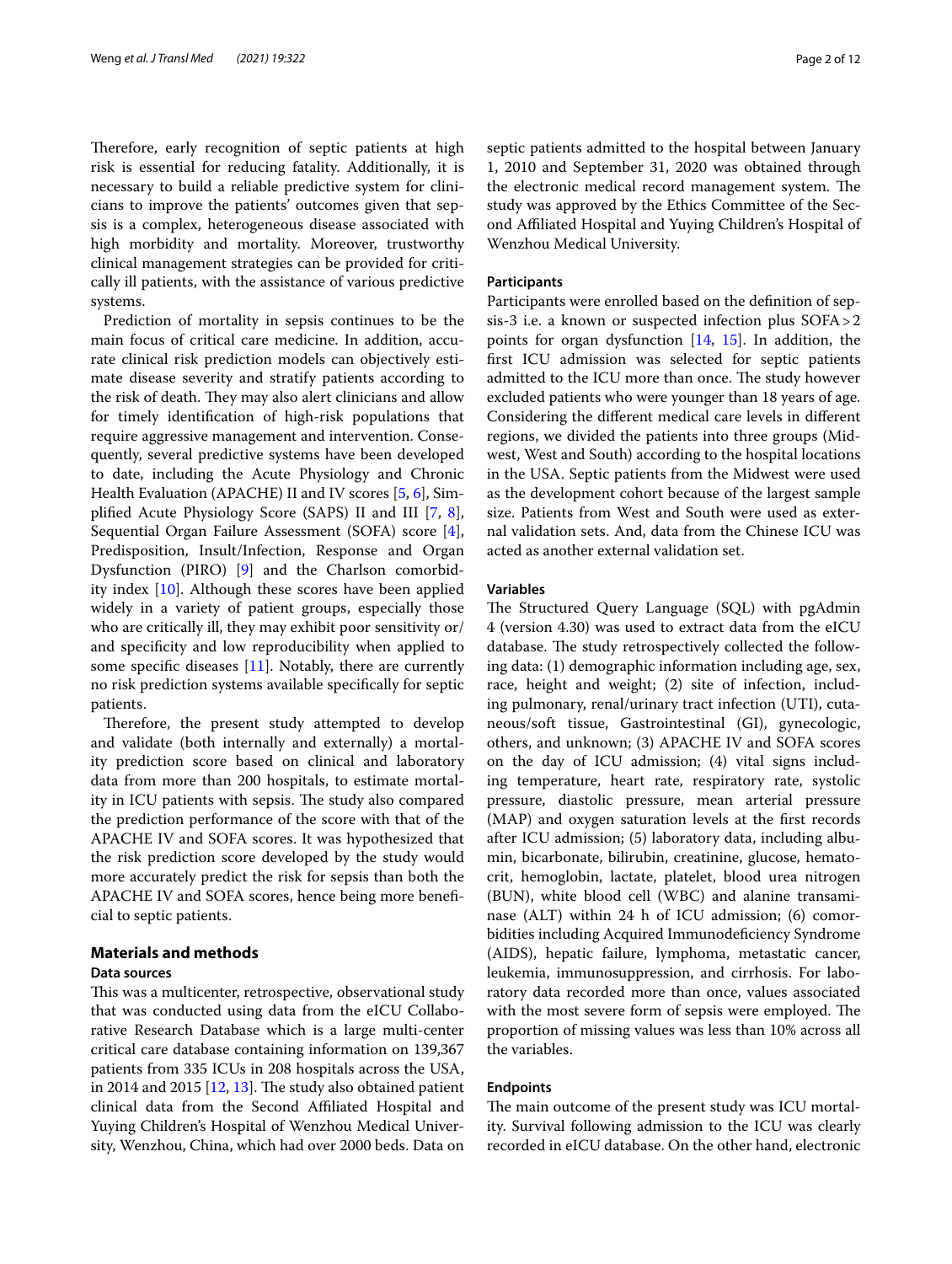Therefore, early recognition of septic patients at high risk is essential for reducing fatality. Additionally, it is necessary to build a reliable predictive system for clinicians to improve the patients' outcomes given that sepsis is a complex, heterogeneous disease associated with high morbidity and mortality. Moreover, trustworthy clinical management strategies can be provided for critically ill patients, with the assistance of various predictive systems.

Prediction of mortality in sepsis continues to be the main focus of critical care medicine. In addition, accurate clinical risk prediction models can objectively estimate disease severity and stratify patients according to the risk of death. They may also alert clinicians and allow for timely identifcation of high-risk populations that require aggressive management and intervention. Consequently, several predictive systems have been developed to date, including the Acute Physiology and Chronic Health Evaluation (APACHE) II and IV scores [\[5](#page-10-3), [6](#page-10-4)], Simplifed Acute Physiology Score (SAPS) II and III [\[7](#page-10-5), [8](#page-10-6)], Sequential Organ Failure Assessment (SOFA) score [\[4](#page-10-2)], Predisposition, Insult/Infection, Response and Organ Dysfunction (PIRO) [[9\]](#page-10-7) and the Charlson comorbidity index [[10\]](#page-10-8). Although these scores have been applied widely in a variety of patient groups, especially those who are critically ill, they may exhibit poor sensitivity or/ and specifcity and low reproducibility when applied to some specific diseases  $[11]$  $[11]$ . Notably, there are currently no risk prediction systems available specifcally for septic patients.

Therefore, the present study attempted to develop and validate (both internally and externally) a mortality prediction score based on clinical and laboratory data from more than 200 hospitals, to estimate mortality in ICU patients with sepsis. The study also compared the prediction performance of the score with that of the APACHE IV and SOFA scores. It was hypothesized that the risk prediction score developed by the study would more accurately predict the risk for sepsis than both the APACHE IV and SOFA scores, hence being more benefcial to septic patients.

# **Materials and methods**

#### **Data sources**

This was a multicenter, retrospective, observational study that was conducted using data from the eICU Collaborative Research Database which is a large multi-center critical care database containing information on 139,367 patients from 335 ICUs in 208 hospitals across the USA, in 2014 and 2015  $[12, 13]$  $[12, 13]$  $[12, 13]$  $[12, 13]$ . The study also obtained patient clinical data from the Second Afliated Hospital and Yuying Children's Hospital of Wenzhou Medical University, Wenzhou, China, which had over 2000 beds. Data on septic patients admitted to the hospital between January 1, 2010 and September 31, 2020 was obtained through the electronic medical record management system. The study was approved by the Ethics Committee of the Second Afliated Hospital and Yuying Children's Hospital of Wenzhou Medical University.

# **Participants**

Participants were enrolled based on the defnition of sepsis-3 i.e. a known or suspected infection plus SOFA>2 points for organ dysfunction [\[14](#page-10-12), [15\]](#page-10-13). In addition, the frst ICU admission was selected for septic patients admitted to the ICU more than once. The study however excluded patients who were younger than 18 years of age. Considering the diferent medical care levels in diferent regions, we divided the patients into three groups (Midwest, West and South) according to the hospital locations in the USA. Septic patients from the Midwest were used as the development cohort because of the largest sample size. Patients from West and South were used as external validation sets. And, data from the Chinese ICU was acted as another external validation set.

## **Variables**

The Structured Query Language (SQL) with pgAdmin 4 (version 4.30) was used to extract data from the eICU database. The study retrospectively collected the following data: (1) demographic information including age, sex, race, height and weight; (2) site of infection, including pulmonary, renal/urinary tract infection (UTI), cutaneous/soft tissue, Gastrointestinal (GI), gynecologic, others, and unknown; (3) APACHE IV and SOFA scores on the day of ICU admission; (4) vital signs including temperature, heart rate, respiratory rate, systolic pressure, diastolic pressure, mean arterial pressure (MAP) and oxygen saturation levels at the frst records after ICU admission; (5) laboratory data, including albumin, bicarbonate, bilirubin, creatinine, glucose, hematocrit, hemoglobin, lactate, platelet, blood urea nitrogen (BUN), white blood cell (WBC) and alanine transaminase (ALT) within 24 h of ICU admission; (6) comorbidities including Acquired Immunodefciency Syndrome (AIDS), hepatic failure, lymphoma, metastatic cancer, leukemia, immunosuppression, and cirrhosis. For laboratory data recorded more than once, values associated with the most severe form of sepsis were employed. The proportion of missing values was less than 10% across all the variables.

# **Endpoints**

The main outcome of the present study was ICU mortality. Survival following admission to the ICU was clearly recorded in eICU database. On the other hand, electronic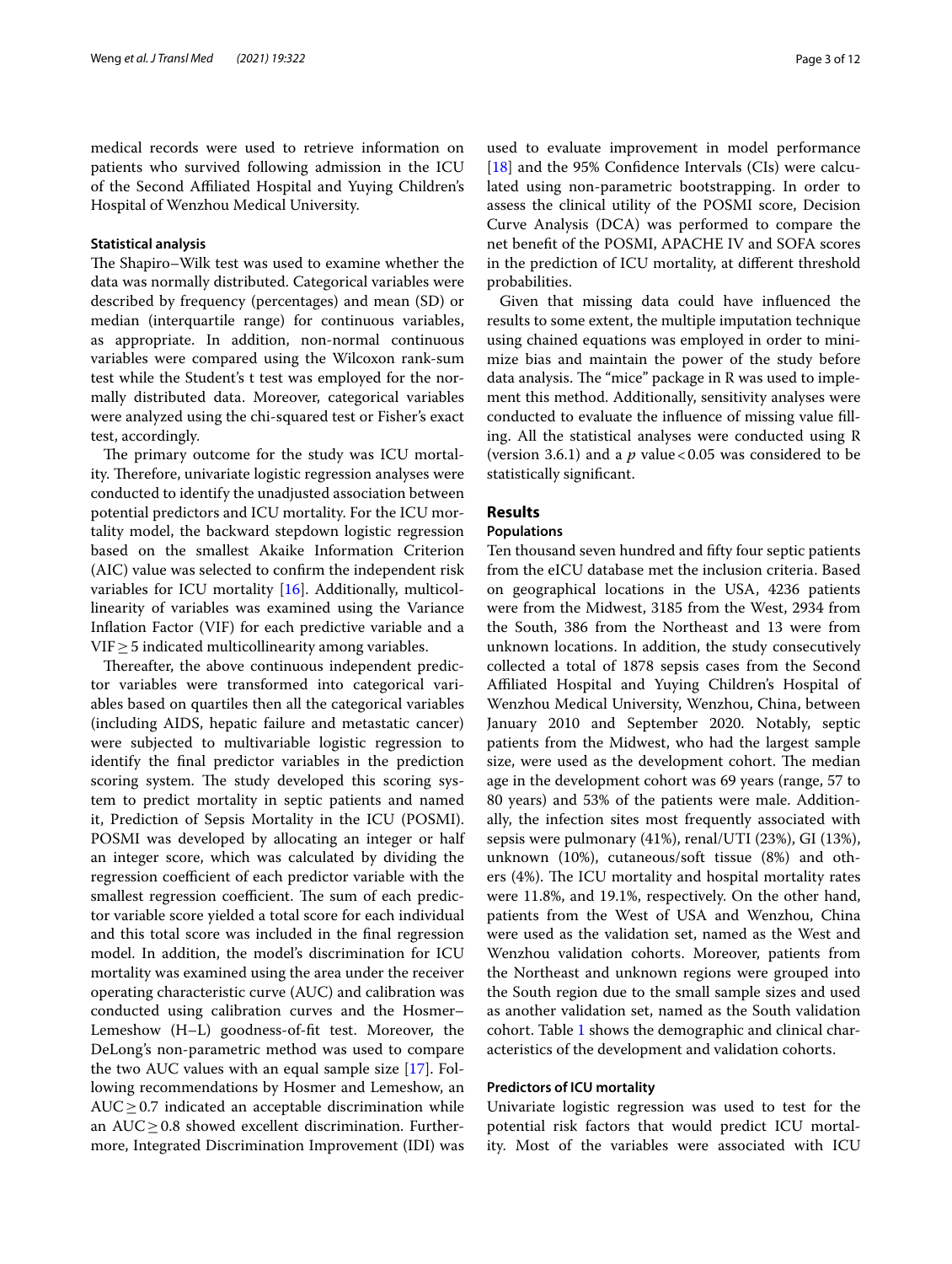medical records were used to retrieve information on patients who survived following admission in the ICU of the Second Afliated Hospital and Yuying Children's Hospital of Wenzhou Medical University.

#### **Statistical analysis**

The Shapiro–Wilk test was used to examine whether the data was normally distributed. Categorical variables were described by frequency (percentages) and mean (SD) or median (interquartile range) for continuous variables, as appropriate. In addition, non-normal continuous variables were compared using the Wilcoxon rank-sum test while the Student's t test was employed for the normally distributed data. Moreover, categorical variables were analyzed using the chi-squared test or Fisher's exact test, accordingly.

The primary outcome for the study was ICU mortality. Therefore, univariate logistic regression analyses were conducted to identify the unadjusted association between potential predictors and ICU mortality. For the ICU mortality model, the backward stepdown logistic regression based on the smallest Akaike Information Criterion (AIC) value was selected to confrm the independent risk variables for ICU mortality [\[16\]](#page-10-14). Additionally, multicollinearity of variables was examined using the Variance Infation Factor (VIF) for each predictive variable and a  $VIF \geq 5$  indicated multicollinearity among variables.

Thereafter, the above continuous independent predictor variables were transformed into categorical variables based on quartiles then all the categorical variables (including AIDS, hepatic failure and metastatic cancer) were subjected to multivariable logistic regression to identify the fnal predictor variables in the prediction scoring system. The study developed this scoring system to predict mortality in septic patients and named it, Prediction of Sepsis Mortality in the ICU (POSMI). POSMI was developed by allocating an integer or half an integer score, which was calculated by dividing the regression coefficient of each predictor variable with the smallest regression coefficient. The sum of each predictor variable score yielded a total score for each individual and this total score was included in the fnal regression model. In addition, the model's discrimination for ICU mortality was examined using the area under the receiver operating characteristic curve (AUC) and calibration was conducted using calibration curves and the Hosmer– Lemeshow (H–L) goodness-of-ft test. Moreover, the DeLong's non-parametric method was used to compare the two AUC values with an equal sample size [\[17\]](#page-10-15). Following recommendations by Hosmer and Lemeshow, an  $AUC \geq 0.7$  indicated an acceptable discrimination while an  $AUC \geq 0.8$  showed excellent discrimination. Furthermore, Integrated Discrimination Improvement (IDI) was used to evaluate improvement in model performance [[18\]](#page-10-16) and the 95% Confidence Intervals (CIs) were calculated using non-parametric bootstrapping. In order to assess the clinical utility of the POSMI score, Decision Curve Analysis (DCA) was performed to compare the net beneft of the POSMI, APACHE IV and SOFA scores in the prediction of ICU mortality, at diferent threshold probabilities.

Given that missing data could have infuenced the results to some extent, the multiple imputation technique using chained equations was employed in order to minimize bias and maintain the power of the study before data analysis. The "mice" package in R was used to implement this method. Additionally, sensitivity analyses were conducted to evaluate the infuence of missing value flling. All the statistical analyses were conducted using R (version 3.6.1) and a  $p$  value < 0.05 was considered to be statistically signifcant.

# **Results**

# **Populations**

Ten thousand seven hundred and ffty four septic patients from the eICU database met the inclusion criteria. Based on geographical locations in the USA, 4236 patients were from the Midwest, 3185 from the West, 2934 from the South, 386 from the Northeast and 13 were from unknown locations. In addition, the study consecutively collected a total of 1878 sepsis cases from the Second Afliated Hospital and Yuying Children's Hospital of Wenzhou Medical University, Wenzhou, China, between January 2010 and September 2020. Notably, septic patients from the Midwest, who had the largest sample size, were used as the development cohort. The median age in the development cohort was 69 years (range, 57 to 80 years) and 53% of the patients were male. Additionally, the infection sites most frequently associated with sepsis were pulmonary (41%), renal/UTI (23%), GI (13%), unknown (10%), cutaneous/soft tissue (8%) and others (4%). The ICU mortality and hospital mortality rates were 11.8%, and 19.1%, respectively. On the other hand, patients from the West of USA and Wenzhou, China were used as the validation set, named as the West and Wenzhou validation cohorts. Moreover, patients from the Northeast and unknown regions were grouped into the South region due to the small sample sizes and used as another validation set, named as the South validation cohort. Table [1](#page-3-0) shows the demographic and clinical characteristics of the development and validation cohorts.

#### **Predictors of ICU mortality**

Univariate logistic regression was used to test for the potential risk factors that would predict ICU mortality. Most of the variables were associated with ICU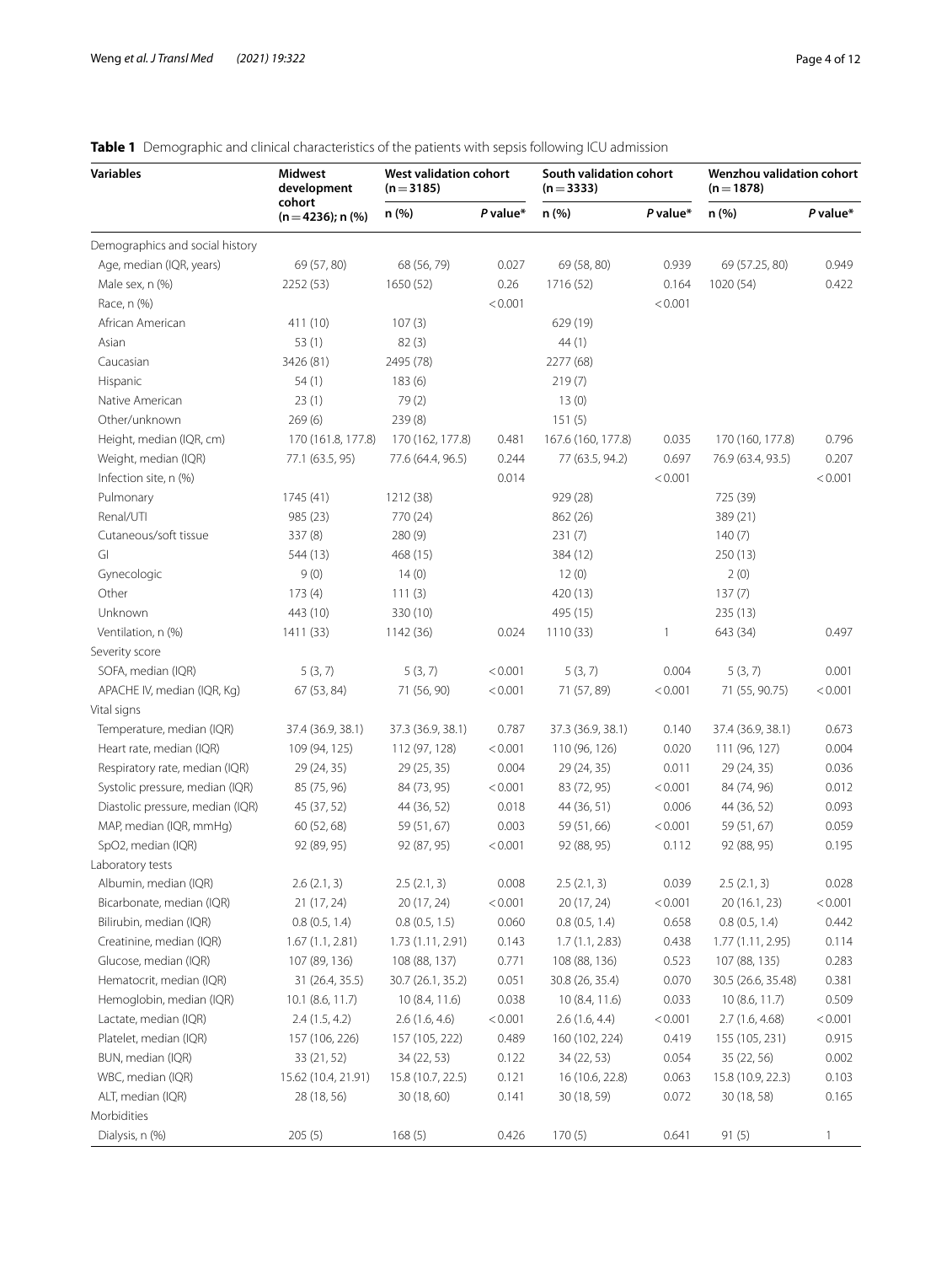# **Variables Midwest development cohort (n**=**4236); n (%) West validation cohort (n**=**3185) South validation cohort (n**=**3333) Wenzhou validation cohort (n**=**1878) n (%)** *P* **value\* n (%)** *P* **value\* n (%)** *P* **value\*** Demographics and social history Age, median (IQR, years) 69 (57, 80) 68 (56, 79) 0.027 69 (58, 80) 0.939 69 (57.25, 80) 0.949 Male sex, n (%) 2252 (53) 1650 (52) 0.26 1716 (52) 0.164 1020 (54) 0.422 Race, n (%)  $< 0.001$   $< 0.001$   $< 0.001$ African American 411 (10) 107 (3) 629 (19) Asian 63 (1) 53 (1) 63 (3) 644 (1) Caucasian 3426 (81) 2495 (78) 2277 (68) Hispanic 219 (7) 54 (1) 183 (6) 219 (7) 185 (8) Native American 23 (1) 23 (1) 79 (2) 13 (0) Other/unknown 269 (6) 239 (8) 239 (8) 151 (5) Height, median (IQR, cm) 170 (161.8, 177.8) 170 (162, 177.8) 0.481 167.6 (160, 177.8) 0.035 170 (160, 177.8) 0.796 Weight, median (IQR) 77.1 (63.5, 95) 77.6 (64.4, 96.5) 0.244 77 (63.5, 94.2) 0.697 76.9 (63.4, 93.5) 0.207 Infection site, n (%) 0.014 <0.001 <0.001 Pulmonary 1745 (41) 1212 (38) 929 (28) 725 (39) Renal/UTI 985 (23) 770 (24) 862 (26) 389 (21) Cutaneous/soft tissue 337 (8) 280 (9) 231 (7) 140 (7) GI 544 (13) 468 (15) 384 (12) 384 (12) 350 (13) Gynecologic 2(0) 9 (0) 14 (0) 12 (0) 12 (0) 2 (0) Other 173 (4) 111 (3) 420 (13) 137 (7) Unknown 443 (10) 330 (10) 495 (15) 235 (13) Ventilation, n (%) 1411 (33) 1142 (36) 1142 (36) 1110 (33) 1111 (343 (34) 112 (3497 Severity score SOFA, median (IQR) 5 (3, 7) 5 (3, 7) 5 (3, 7) 5 (3, 7) 5 (3, 7) 5 (3, 7) 5 (3, 7) 5 (3, 7) 5 (3, 7) 5 (3, 7) 0.001 APACHE IV, median (IQR, Kg) 67 (53, 84) 71 (56, 90) <0.001 71 (57, 89) <0.001 71 (55, 90.75) <0.001 Vital signs Temperature, median (IQR) 37.4 (36.9, 38.1) 37.3 (36.9, 38.1) 0.787 37.3 (36.9, 38.1) 0.140 37.4 (36.9, 38.1) 0.673 Heart rate, median (IQR) 109 (94, 125) 112 (97, 128) <0.001 110 (96, 126) 0.020 111 (96, 127) 0.004 Respiratory rate, median (IQR) 29 (24, 35) 29 (25, 35) 0.004 29 (24, 35) 0.011 29 (24, 35) 0.036 Systolic pressure, median (IQR) 85 (75, 96) 84 (73, 95) <0.001 83 (72, 95) <0.001 84 (74, 96) 0.012 Diastolic pressure, median (IQR) 45 (37, 52) 44 (36, 52) 0.018 44 (36, 51) 0.006 44 (36, 52) 0.093 MAP, median (IQR, mmHg) 60 (52, 68) 59 (51, 67) 0.003 59 (51, 66) <0.001 59 (51, 67) 0.059 SpO2, median (IQR) 92 (89, 95) 92 (87, 95) 40.001 92 (88, 95) 0.112 92 (88, 95) 0.195 Laboratory tests Albumin, median (IQR) 2.6 (2.1, 3) 2.5 (2.1, 3) 0.008 2.5 (2.1, 3) 0.039 2.5 (2.1, 3) 0.028 Bicarbonate, median (IQR) 21 (17, 24) 20 (17, 24)  $\leq 0.001$  20 (17, 24)  $\leq 0.001$  20 (16.1, 23)  $\leq 0.001$ Bilirubin, median (IQR) 0.8 (0.5, 1.4) 0.8 (0.5, 1.5) 0.060 0.8 (0.5, 1.4) 0.658 0.8 (0.5, 1.4) 0.442 Creatinine, median (IQR) 1.67 (1.1, 2.81) 1.73 (1.11, 2.91) 0.143 1.7 (1.1, 2.83) 0.438 1.77 (1.11, 2.95) 0.114 Glucose, median (IQR) 107 (89, 136) 108 (88, 137) 0.771 108 (88, 136) 0.523 107 (88, 135) 0.283 Hematocrit, median (IQR) 31 (26.4, 35.5) 30.7 (26.1, 35.2) 0.051 30.8 (26, 35.4) 0.070 30.5 (26.6, 35.48) 0.381 Hemoglobin, median (IQR) 10.1 (8.6, 11.7) 10 (8.4, 11.6) 0.038 10 (8.4, 11.6) 0.033 10 (8.6, 11.7) 0.509 Lactate, median (IQR) 2.4 (1.5, 4.2) 2.6 (1.6, 4.6)  $\leq 0.001$  2.6 (1.6, 4.4)  $\leq 0.001$  2.7 (1.6, 4.68)  $\leq 0.001$ Platelet, median (IQR) 157 (106, 226) 157 (105, 222) 0.489 160 (102, 224) 0.419 155 (105, 231) 0.915 BUN, median (IQR) 33 (21, 52) 34 (22, 53) 0.122 34 (22, 53) 0.054 35 (22, 56) 0.002 WBC, median (IQR) 15.62 (10.4, 21.91) 15.8 (10.7, 22.5) 0.121 16 (10.6, 22.8) 0.063 15.8 (10.9, 22.3) 0.103 ALT, median (IQR) 28 (18, 56) 30 (18, 60) 0.141 30 (18, 59) 0.072 30 (18, 58) 0.165 Morbidities Dialysis, n (%) 205 (5) 168 (5) 0.426 170 (5) 0.641 91 (5) 1

# <span id="page-3-0"></span>**Table 1** Demographic and clinical characteristics of the patients with sepsis following ICU admission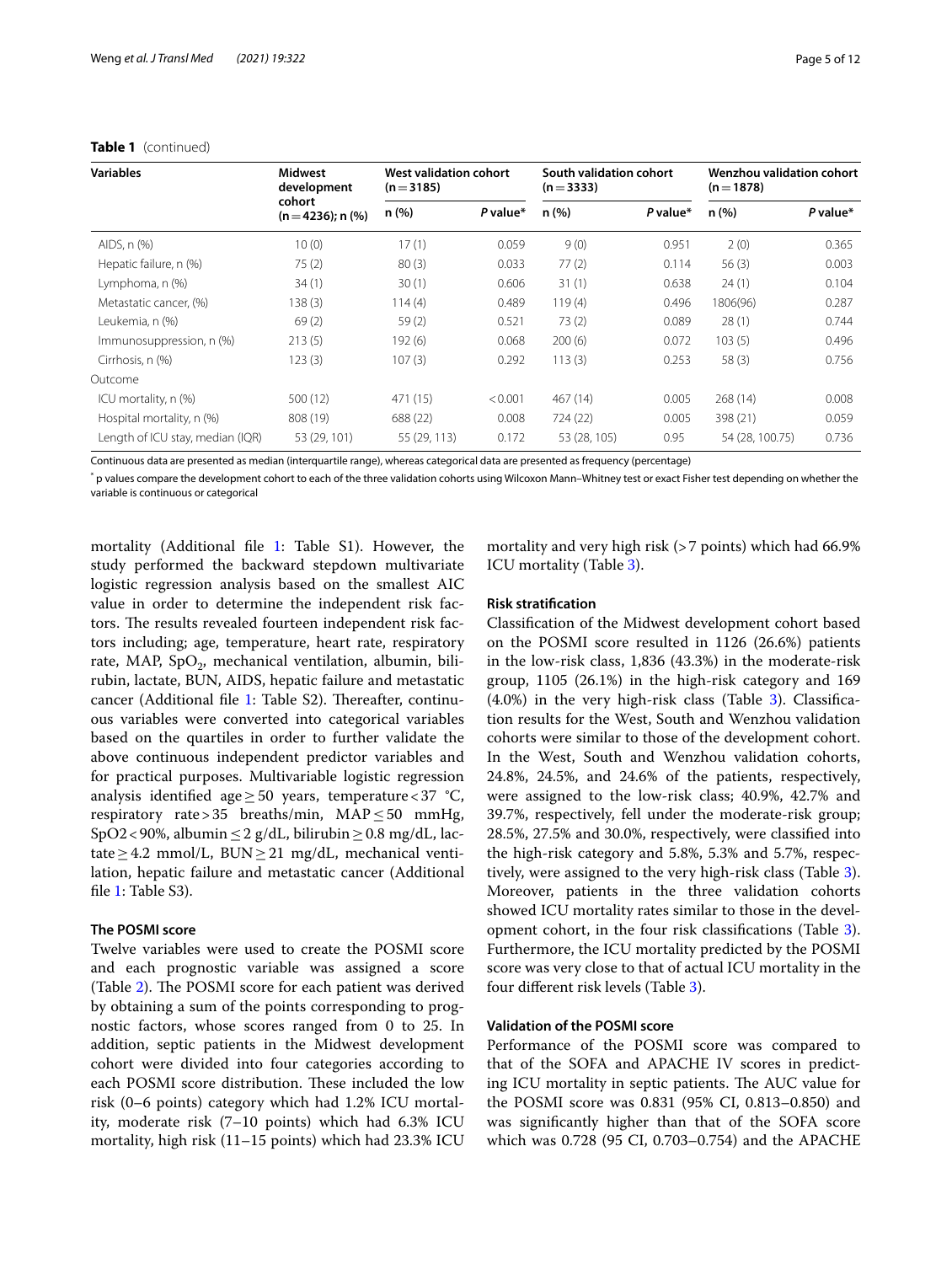| <b>Variables</b>                 | <b>Midwest</b><br>development<br>cohort<br>$(n=4236)$ ; n $(\%)$ | West validation cohort<br>$(n=3185)$ |          | South validation cohort<br>$(n=3333)$ |          | Wenzhou validation cohort<br>$(n=1878)$ |          |
|----------------------------------|------------------------------------------------------------------|--------------------------------------|----------|---------------------------------------|----------|-----------------------------------------|----------|
|                                  |                                                                  | n (%)                                | P value* | n(%)                                  | P value* | n (%)                                   | P value* |
| AIDS, n (%)                      | 10(0)                                                            | 17(1)                                | 0.059    | 9(0)                                  | 0.951    | 2(0)                                    | 0.365    |
| Hepatic failure, n (%)           | 75(2)                                                            | 80(3)                                | 0.033    | 77(2)                                 | 0.114    | 56(3)                                   | 0.003    |
| Lymphoma, n (%)                  | 34(1)                                                            | 30(1)                                | 0.606    | 31(1)                                 | 0.638    | 24(1)                                   | 0.104    |
| Metastatic cancer, (%)           | 138(3)                                                           | 114(4)                               | 0.489    | 119(4)                                | 0.496    | 1806(96)                                | 0.287    |
| Leukemia, n (%)                  | 69(2)                                                            | 59(2)                                | 0.521    | 73(2)                                 | 0.089    | 28(1)                                   | 0.744    |
| Immunosuppression, n (%)         | 213(5)                                                           | 192(6)                               | 0.068    | 200(6)                                | 0.072    | 103(5)                                  | 0.496    |
| Cirrhosis, n (%)                 | 123(3)                                                           | 107(3)                               | 0.292    | 113(3)                                | 0.253    | 58(3)                                   | 0.756    |
| Outcome                          |                                                                  |                                      |          |                                       |          |                                         |          |
| ICU mortality, n (%)             | 500 (12)                                                         | 471 (15)                             | < 0.001  | 467 (14)                              | 0.005    | 268(14)                                 | 0.008    |
| Hospital mortality, n (%)        | 808 (19)                                                         | 688 (22)                             | 0.008    | 724 (22)                              | 0.005    | 398 (21)                                | 0.059    |
| Length of ICU stay, median (IQR) | 53 (29, 101)                                                     | 55 (29, 113)                         | 0.172    | 53 (28, 105)                          | 0.95     | 54 (28, 100.75)                         | 0.736    |

#### **Table 1** (continued)

Continuous data are presented as median (interquartile range), whereas categorical data are presented as frequency (percentage)

\* p values compare the development cohort to each of the three validation cohorts using Wilcoxon Mann–Whitney test or exact Fisher test depending on whether the variable is continuous or categorical

mortality (Additional fle [1](#page-10-17): Table S1). However, the study performed the backward stepdown multivariate logistic regression analysis based on the smallest AIC value in order to determine the independent risk factors. The results revealed fourteen independent risk factors including; age, temperature, heart rate, respiratory rate, MAP,  $SpO<sub>2</sub>$ , mechanical ventilation, albumin, bilirubin, lactate, BUN, AIDS, hepatic failure and metastatic cancer (Additional file [1:](#page-10-17) Table S2). Thereafter, continuous variables were converted into categorical variables based on the quartiles in order to further validate the above continuous independent predictor variables and for practical purposes. Multivariable logistic regression analysis identified age > 50 years, temperature < 37 °C, respiratory rate>35 breaths/min,  $MAP \leq 50$  mmHg, SpO2<90%, albumin  $\leq$  2 g/dL, bilirubin  $\geq$  0.8 mg/dL, lactate  $\geq$  4.2 mmol/L, BUN  $\geq$  21 mg/dL, mechanical ventilation, hepatic failure and metastatic cancer (Additional file [1](#page-10-17): Table S3).

#### **The POSMI score**

Twelve variables were used to create the POSMI score and each prognostic variable was assigned a score (Table [2\)](#page-5-0). The POSMI score for each patient was derived by obtaining a sum of the points corresponding to prognostic factors, whose scores ranged from 0 to 25. In addition, septic patients in the Midwest development cohort were divided into four categories according to each POSMI score distribution. These included the low risk (0–6 points) category which had 1.2% ICU mortality, moderate risk (7–10 points) which had 6.3% ICU mortality, high risk (11–15 points) which had 23.3% ICU

mortality and very high risk (>7 points) which had 66.9% ICU mortality (Table [3\)](#page-5-1).

## **Risk stratifcation**

Classifcation of the Midwest development cohort based on the POSMI score resulted in 1126 (26.6%) patients in the low-risk class, 1,836 (43.3%) in the moderate-risk group, 1105 (26.1%) in the high-risk category and 169  $(4.0%)$  in the very high-risk class (Table [3\)](#page-5-1). Classification results for the West, South and Wenzhou validation cohorts were similar to those of the development cohort. In the West, South and Wenzhou validation cohorts, 24.8%, 24.5%, and 24.6% of the patients, respectively, were assigned to the low-risk class; 40.9%, 42.7% and 39.7%, respectively, fell under the moderate-risk group; 28.5%, 27.5% and 30.0%, respectively, were classifed into the high-risk category and 5.8%, 5.3% and 5.7%, respectively, were assigned to the very high-risk class (Table [3](#page-5-1)). Moreover, patients in the three validation cohorts showed ICU mortality rates similar to those in the development cohort, in the four risk classifcations (Table [3](#page-5-1)). Furthermore, the ICU mortality predicted by the POSMI score was very close to that of actual ICU mortality in the four diferent risk levels (Table [3](#page-5-1)).

# **Validation of the POSMI score**

Performance of the POSMI score was compared to that of the SOFA and APACHE IV scores in predicting ICU mortality in septic patients. The AUC value for the POSMI score was 0.831 (95% CI, 0.813–0.850) and was signifcantly higher than that of the SOFA score which was 0.728 (95 CI, 0.703–0.754) and the APACHE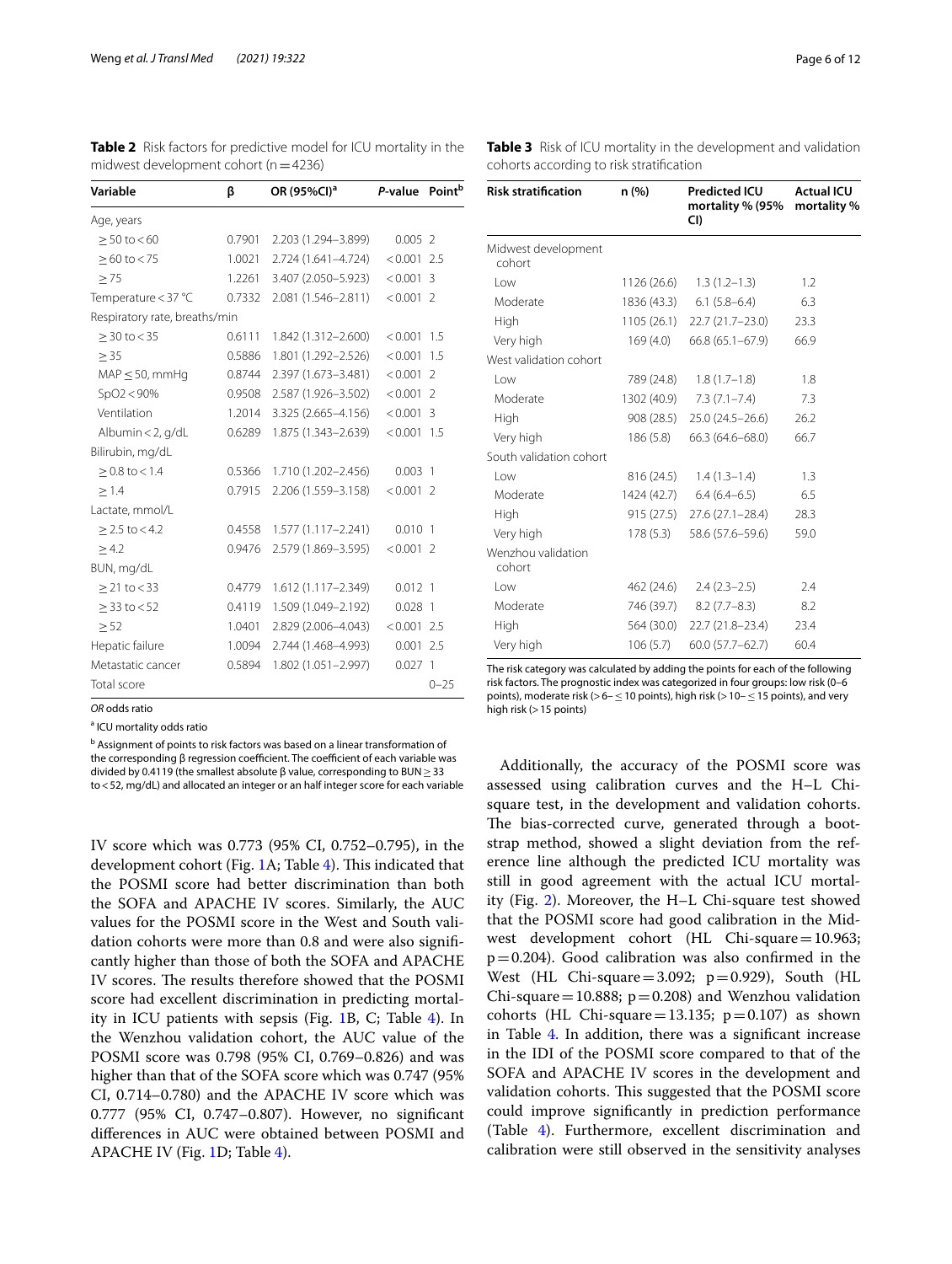<span id="page-5-0"></span>**Table 2** Risk factors for predictive model for ICU mortality in the midwest development cohort ( $n=4236$ )

| β                             | OR (95%CI) <sup>a</sup> | P-value       | Point <sup>b</sup>                                                                                                                                                                                                                 |
|-------------------------------|-------------------------|---------------|------------------------------------------------------------------------------------------------------------------------------------------------------------------------------------------------------------------------------------|
|                               |                         |               |                                                                                                                                                                                                                                    |
| 0.7901                        | 2.203 (1.294-3.899)     | $0.005$ 2     |                                                                                                                                                                                                                                    |
| 1.0021                        |                         | $< 0.001$ 2.5 |                                                                                                                                                                                                                                    |
| 1.2261                        |                         | $< 0.001$ 3   |                                                                                                                                                                                                                                    |
| 0.7332                        |                         | $< 0.001$ 2   |                                                                                                                                                                                                                                    |
| Respiratory rate, breaths/min |                         |               |                                                                                                                                                                                                                                    |
| 0.6111                        | 1.842 (1.312-2.600)     | < 0.001       | 1.5                                                                                                                                                                                                                                |
| 0.5886                        |                         | < 0.001       | 1.5                                                                                                                                                                                                                                |
| 0.8744                        |                         | < 0.001       | $\overline{\phantom{a}}$                                                                                                                                                                                                           |
| 0.9508                        |                         | $< 0.001$ 2   |                                                                                                                                                                                                                                    |
| 1.2014                        |                         | $< 0.001$ 3   |                                                                                                                                                                                                                                    |
| 0.6289                        | 1.875 (1.343-2.639)     | < 0.001       | 1.5                                                                                                                                                                                                                                |
|                               |                         |               |                                                                                                                                                                                                                                    |
| 0.5366                        | 1.710 (1.202-2.456)     | $0.003$ 1     |                                                                                                                                                                                                                                    |
| 0.7915                        | 2.206 (1.559-3.158)     | $< 0.001$ 2   |                                                                                                                                                                                                                                    |
|                               |                         |               |                                                                                                                                                                                                                                    |
| 0.4558                        | 1.577 (1.117-2.241)     | $0.010$ 1     |                                                                                                                                                                                                                                    |
| 0.9476                        |                         | $< 0.001$ 2   |                                                                                                                                                                                                                                    |
|                               |                         |               |                                                                                                                                                                                                                                    |
| 0.4779                        | 1.612 (1.117-2.349)     | $0.012$ 1     |                                                                                                                                                                                                                                    |
| 0.4119                        | 1.509 (1.049-2.192)     | $0.028$ 1     |                                                                                                                                                                                                                                    |
| 1.0401                        |                         | $< 0.001$ 2.5 |                                                                                                                                                                                                                                    |
| 1.0094                        |                         | $0.001$ 2.5   |                                                                                                                                                                                                                                    |
| 0.5894                        | 1.802 (1.051-2.997)     | $0.027$ 1     |                                                                                                                                                                                                                                    |
|                               |                         |               | $0 - 25$                                                                                                                                                                                                                           |
|                               |                         |               | 2.724 (1.641-4.724)<br>3.407 (2.050-5.923)<br>2.081 (1.546-2.811)<br>1.801 (1.292-2.526)<br>2.397 (1.673-3.481)<br>2.587 (1.926-3.502)<br>3.325 (2.665-4.156)<br>2.579 (1.869-3.595)<br>2.829 (2.006-4.043)<br>2.744 (1.468-4.993) |

*OR* odds ratio

<sup>a</sup> ICU mortality odds ratio

<sup>b</sup> Assignment of points to risk factors was based on a linear transformation of the corresponding β regression coefficient. The coefficient of each variable was divided by 0.4119 (the smallest absolute β value, corresponding to BUN≥33 to<52, mg/dL) and allocated an integer or an half integer score for each variable

IV score which was 0.773 (95% CI, 0.752–0.795), in the development cohort (Fig. [1](#page-6-0)A; Table [4](#page-6-1)). This indicated that the POSMI score had better discrimination than both the SOFA and APACHE IV scores. Similarly, the AUC values for the POSMI score in the West and South validation cohorts were more than 0.8 and were also signifcantly higher than those of both the SOFA and APACHE IV scores. The results therefore showed that the POSMI score had excellent discrimination in predicting mortality in ICU patients with sepsis (Fig. [1B](#page-6-0), C; Table [4\)](#page-6-1). In the Wenzhou validation cohort, the AUC value of the POSMI score was 0.798 (95% CI, 0.769–0.826) and was higher than that of the SOFA score which was 0.747 (95% CI, 0.714–0.780) and the APACHE IV score which was 0.777 (95% CI, 0.747–0.807). However, no signifcant diferences in AUC were obtained between POSMI and APACHE IV (Fig. [1D](#page-6-0); Table [4\)](#page-6-1).

| <b>Risk stratification</b>    | n(%)        | <b>Predicted ICU</b><br>mortality % (95%<br>CI) | <b>Actual ICU</b><br>mortality % |
|-------------------------------|-------------|-------------------------------------------------|----------------------------------|
| Midwest development<br>cohort |             |                                                 |                                  |
| Low                           | 1126 (26.6) | $1.3(1.2-1.3)$                                  | 1.2                              |
| Moderate                      | 1836 (43.3) | $6.1(5.8-6.4)$                                  | 6.3                              |
| High                          | 1105(26.1)  | $22.7(21.7-23.0)$                               | 23.3                             |
| Very high                     | 169 (4.0)   | $66.8(65.1 - 67.9)$                             | 66.9                             |
| West validation cohort        |             |                                                 |                                  |
| l ow                          | 789 (24.8)  | $1.8(1.7-1.8)$                                  | 1.8                              |
| Moderate                      | 1302 (40.9) | $7.3(7.1 - 7.4)$                                | 7.3                              |
| High                          | 908 (28.5)  | $25.0(24.5 - 26.6)$                             | 26.2                             |
| Very high                     | 186 (5.8)   | 66.3 (64.6-68.0)                                | 66.7                             |
| South validation cohort       |             |                                                 |                                  |
| Low                           | 816 (24.5)  | $1.4(1.3-1.4)$                                  | 1.3                              |
| Moderate                      | 1424 (42.7) | $6.4(6.4-6.5)$                                  | 6.5                              |
| High                          | 915 (27.5)  | $27.6(27.1 - 28.4)$                             | 28.3                             |
| Very high                     | 178 (5.3)   | 58.6 (57.6-59.6)                                | 59.0                             |
| Wenzhou validation<br>cohort  |             |                                                 |                                  |
| Low                           | 462 (24.6)  | $2.4(2.3-2.5)$                                  | 7.4                              |
| Moderate                      | 746 (39.7)  | $8.2(7.7 - 8.3)$                                | 8.2                              |
| High                          | 564 (30.0)  | 22.7 (21.8-23.4)                                | 23.4                             |
| Very high                     | 106 (5.7)   | $60.0(57.7 - 62.7)$                             | 60.4                             |

<span id="page-5-1"></span>**Table 3** Risk of ICU mortality in the development and validation cohorts according to risk stratifcation

The risk category was calculated by adding the points for each of the following risk factors. The prognostic index was categorized in four groups: low risk (0–6 points), moderate risk (>6-≤10 points), high risk (>10-≤15 points), and very high risk  $(>15$  points)

Additionally, the accuracy of the POSMI score was assessed using calibration curves and the H–L Chisquare test, in the development and validation cohorts. The bias-corrected curve, generated through a bootstrap method, showed a slight deviation from the reference line although the predicted ICU mortality was still in good agreement with the actual ICU mortality (Fig. [2](#page-7-0)). Moreover, the H–L Chi-square test showed that the POSMI score had good calibration in the Midwest development cohort (HL Chi-square=10.963;  $p=0.204$ ). Good calibration was also confirmed in the West (HL Chi-square =  $3.092$ ; p = 0.929), South (HL Chi-square = 10.888;  $p=0.208$ ) and Wenzhou validation cohorts (HL Chi-square = 13.135;  $p=0.107$ ) as shown in Table [4.](#page-6-1) In addition, there was a signifcant increase in the IDI of the POSMI score compared to that of the SOFA and APACHE IV scores in the development and validation cohorts. This suggested that the POSMI score could improve signifcantly in prediction performance (Table [4\)](#page-6-1). Furthermore, excellent discrimination and calibration were still observed in the sensitivity analyses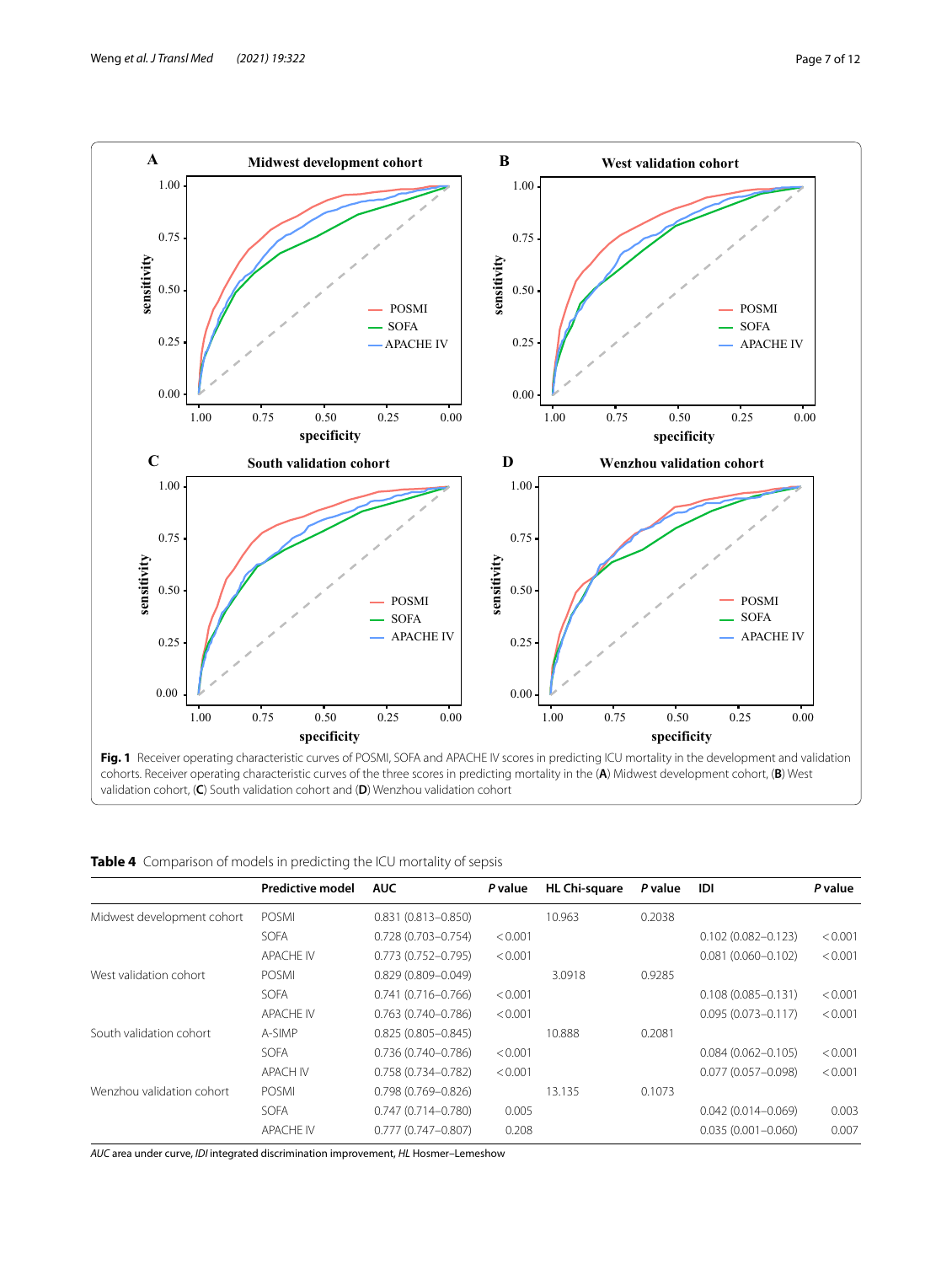

<span id="page-6-0"></span>

| validation cohort, $(C)$ South validation cohort and $(D)$ Wenzhou validation cohort |  |
|--------------------------------------------------------------------------------------|--|
|--------------------------------------------------------------------------------------|--|

<span id="page-6-1"></span>

|  |  |  |  | Table 4 Comparison of models in predicting the ICU mortality of sepsis |
|--|--|--|--|------------------------------------------------------------------------|
|--|--|--|--|------------------------------------------------------------------------|

|                            | <b>Predictive model</b> | <b>AUC</b>             | P value | <b>HL Chi-square</b> | P value | IDI                    | P value |
|----------------------------|-------------------------|------------------------|---------|----------------------|---------|------------------------|---------|
| Midwest development cohort | <b>POSMI</b>            | $0.831(0.813 - 0.850)$ |         | 10.963               | 0.2038  |                        |         |
|                            | <b>SOFA</b>             | $0.728(0.703 - 0.754)$ | < 0.001 |                      |         | $0.102(0.082 - 0.123)$ | < 0.001 |
|                            | <b>APACHE IV</b>        | $0.773(0.752 - 0.795)$ | < 0.001 |                      |         | $0.081(0.060 - 0.102)$ | < 0.001 |
| West validation cohort     | <b>POSMI</b>            | $0.829(0.809 - 0.049)$ |         | 3.0918               | 0.9285  |                        |         |
|                            | <b>SOFA</b>             | $0.741(0.716 - 0.766)$ | < 0.001 |                      |         | $0.108(0.085 - 0.131)$ | < 0.001 |
|                            | <b>APACHE IV</b>        | $0.763(0.740 - 0.786)$ | < 0.001 |                      |         | $0.095(0.073 - 0.117)$ | < 0.001 |
| South validation cohort    | A-SIMP                  | $0.825(0.805 - 0.845)$ |         | 10.888               | 0.2081  |                        |         |
|                            | <b>SOFA</b>             | $0.736(0.740 - 0.786)$ | < 0.001 |                      |         | $0.084(0.062 - 0.105)$ | < 0.001 |
|                            | <b>APACH IV</b>         | 0.758 (0.734-0.782)    | < 0.001 |                      |         | $0.077(0.057 - 0.098)$ | < 0.001 |
| Wenzhou validation cohort  | <b>POSMI</b>            | $0.798(0.769 - 0.826)$ |         | 13.135               | 0.1073  |                        |         |
|                            | <b>SOFA</b>             | $0.747(0.714 - 0.780)$ | 0.005   |                      |         | $0.042(0.014 - 0.069)$ | 0.003   |
|                            | <b>APACHE IV</b>        | $0.777(0.747 - 0.807)$ | 0.208   |                      |         | $0.035(0.001 - 0.060)$ | 0.007   |

*AUC* area under curve, *IDI* integrated discrimination improvement, *HL* Hosmer–Lemeshow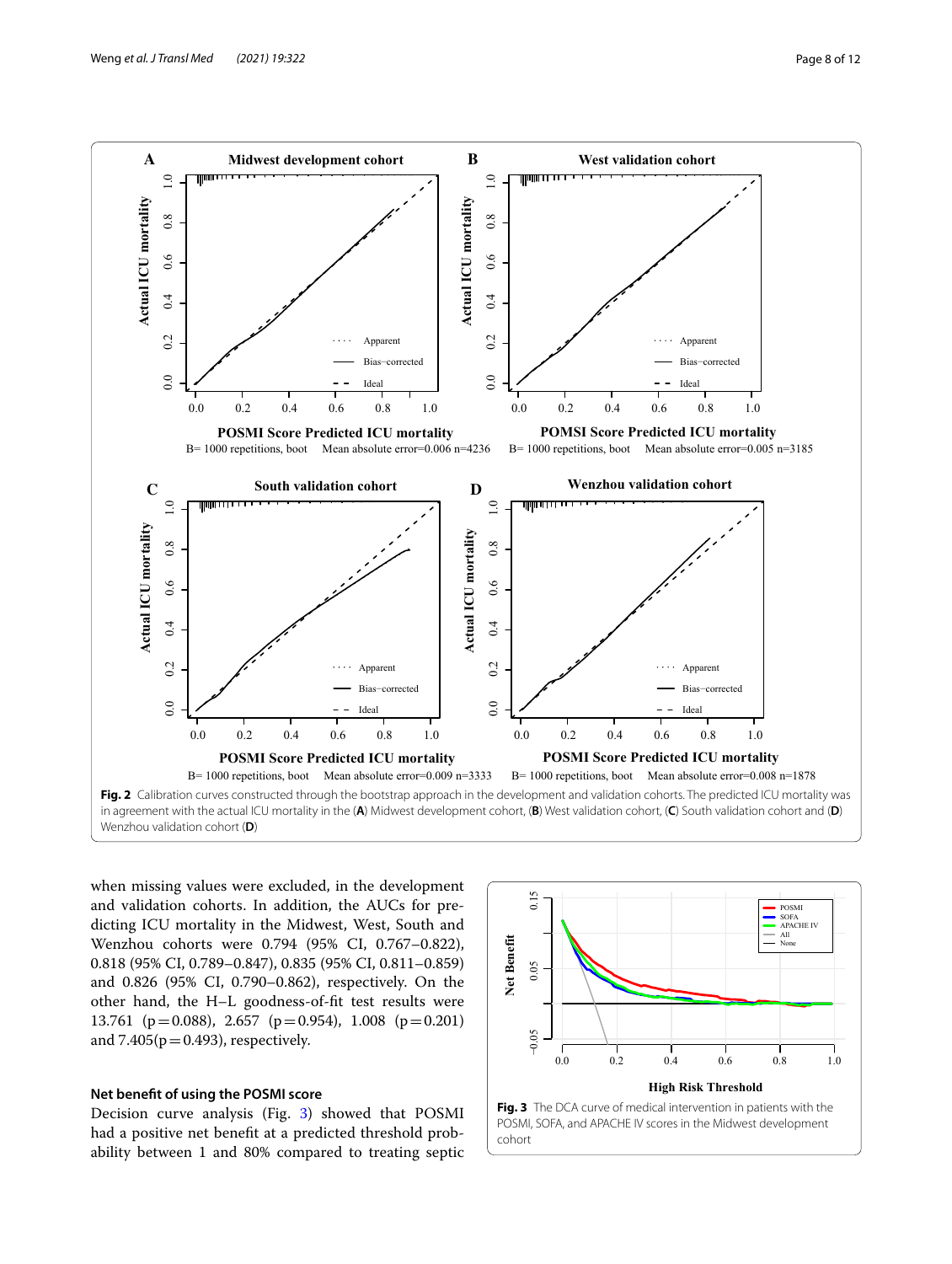

<span id="page-7-0"></span>when missing values were excluded, in the development and validation cohorts. In addition, the AUCs for predicting ICU mortality in the Midwest, West, South and Wenzhou cohorts were 0.794 (95% CI, 0.767–0.822), 0.818 (95% CI, 0.789–0.847), 0.835 (95% CI, 0.811–0.859) and 0.826 (95% CI, 0.790–0.862), respectively. On the other hand, the H–L goodness-of-ft test results were 13.761 ( $p=0.088$ ), 2.657 ( $p=0.954$ ), 1.008 ( $p=0.201$ ) and  $7.405(p=0.493)$ , respectively.

## **Net beneft of using the POSMI score**

Decision curve analysis (Fig. [3](#page-7-1)) showed that POSMI had a positive net beneft at a predicted threshold probability between 1 and 80% compared to treating septic

<span id="page-7-1"></span>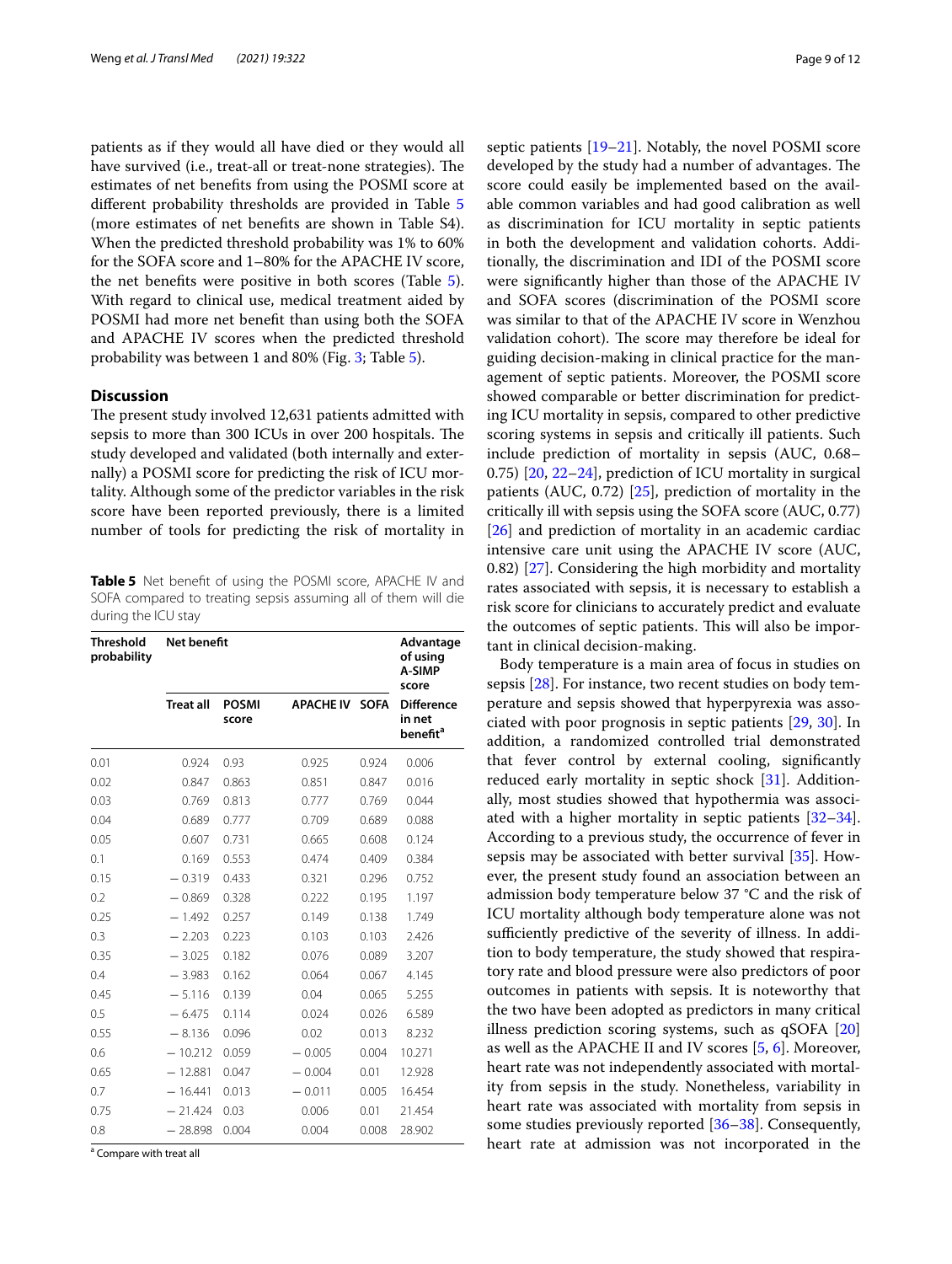patients as if they would all have died or they would all have survived (i.e., treat-all or treat-none strategies). The estimates of net benefts from using the POSMI score at diferent probability thresholds are provided in Table [5](#page-8-0) (more estimates of net benefts are shown in Table S4). When the predicted threshold probability was 1% to 60% for the SOFA score and 1–80% for the APACHE IV score, the net benefts were positive in both scores (Table [5](#page-8-0)). With regard to clinical use, medical treatment aided by POSMI had more net beneft than using both the SOFA and APACHE IV scores when the predicted threshold probability was between 1 and 80% (Fig. [3;](#page-7-1) Table [5\)](#page-8-0).

#### **Discussion**

The present study involved 12,631 patients admitted with sepsis to more than 300 ICUs in over 200 hospitals. The study developed and validated (both internally and externally) a POSMI score for predicting the risk of ICU mortality. Although some of the predictor variables in the risk score have been reported previously, there is a limited number of tools for predicting the risk of mortality in

<span id="page-8-0"></span>**Table 5** Net beneft of using the POSMI score, APACHE IV and SOFA compared to treating sepsis assuming all of them will die during the ICU stay

| <b>Threshold</b><br>probability | Net benefit      | Advantage<br>of using<br>A-SIMP<br>score |                  |             |                                                            |
|---------------------------------|------------------|------------------------------------------|------------------|-------------|------------------------------------------------------------|
|                                 | <b>Treat all</b> | <b>POSMI</b><br>score                    | <b>APACHE IV</b> | <b>SOFA</b> | <b>Difference</b><br>in net<br><b>benefit</b> <sup>a</sup> |
| 0.01                            | 0.924            | 0.93                                     | 0.925            | 0.924       | 0.006                                                      |
| 0.02                            | 0.847            | 0.863                                    | 0.851            | 0.847       | 0.016                                                      |
| 0.03                            | 0.769            | 0.813                                    | 0.777            | 0.769       | 0.044                                                      |
| 0.04                            | 0.689            | 0.777                                    | 0.709            | 0.689       | 0.088                                                      |
| 0.05                            | 0.607            | 0.731                                    | 0.665            | 0.608       | 0.124                                                      |
| 0.1                             | 0.169            | 0.553                                    | 0.474            | 0.409       | 0.384                                                      |
| 0.15                            | $-0.319$         | 0.433                                    | 0.321            | 0.296       | 0.752                                                      |
| 0.2                             | $-0.869$         | 0.328                                    | 0.222            | 0.195       | 1.197                                                      |
| 0.25                            | $-1.492$         | 0.257                                    | 0.149            | 0.138       | 1.749                                                      |
| 0.3                             | $-2.203$         | 0.223                                    | 0.103            | 0.103       | 2.426                                                      |
| 0.35                            | $-3.025$         | 0.182                                    | 0.076            | 0.089       | 3.207                                                      |
| 0.4                             | $-3.983$         | 0.162                                    | 0.064            | 0.067       | 4.145                                                      |
| 0.45                            | $-5.116$         | 0.139                                    | 0.04             | 0.065       | 5.255                                                      |
| 0.5                             | $-6.475$         | 0.114                                    | 0.024            | 0.026       | 6.589                                                      |
| 0.55                            | $-8.136$         | 0.096                                    | 0.02             | 0.013       | 8.232                                                      |
| 0.6                             | $-10.212$        | 0.059                                    | $-0.005$         | 0.004       | 10.271                                                     |
| 0.65                            | $-12.881$        | 0.047                                    | $-0.004$         | 0.01        | 12.928                                                     |
| 0.7                             | $-16.441$        | 0.013                                    | $-0.011$         | 0.005       | 16.454                                                     |
| 0.75                            | $-21.424$        | 0.03                                     | 0.006            | 0.01        | 21.454                                                     |
| 0.8                             | $-28.898$        | 0.004                                    | 0.004            | 0.008       | 28.902                                                     |

<sup>a</sup> Compare with treat all

septic patients [[19](#page-10-18)[–21](#page-10-19)]. Notably, the novel POSMI score developed by the study had a number of advantages. The score could easily be implemented based on the available common variables and had good calibration as well as discrimination for ICU mortality in septic patients in both the development and validation cohorts. Additionally, the discrimination and IDI of the POSMI score were signifcantly higher than those of the APACHE IV and SOFA scores (discrimination of the POSMI score was similar to that of the APACHE IV score in Wenzhou validation cohort). The score may therefore be ideal for guiding decision-making in clinical practice for the management of septic patients. Moreover, the POSMI score showed comparable or better discrimination for predicting ICU mortality in sepsis, compared to other predictive scoring systems in sepsis and critically ill patients. Such include prediction of mortality in sepsis (AUC, 0.68– 0.75) [[20,](#page-10-20) [22](#page-10-21)[–24](#page-11-0)], prediction of ICU mortality in surgical patients (AUC, 0.72) [\[25\]](#page-11-1), prediction of mortality in the critically ill with sepsis using the SOFA score (AUC, 0.77) [[26\]](#page-11-2) and prediction of mortality in an academic cardiac intensive care unit using the APACHE IV score (AUC, 0.82) [[27\]](#page-11-3). Considering the high morbidity and mortality rates associated with sepsis, it is necessary to establish a risk score for clinicians to accurately predict and evaluate the outcomes of septic patients. This will also be important in clinical decision-making.

Body temperature is a main area of focus in studies on sepsis [\[28](#page-11-4)]. For instance, two recent studies on body temperature and sepsis showed that hyperpyrexia was associated with poor prognosis in septic patients [\[29](#page-11-5), [30](#page-11-6)]. In addition, a randomized controlled trial demonstrated that fever control by external cooling, signifcantly reduced early mortality in septic shock [\[31\]](#page-11-7). Additionally, most studies showed that hypothermia was associated with a higher mortality in septic patients [[32](#page-11-8)[–34](#page-11-9)]. According to a previous study, the occurrence of fever in sepsis may be associated with better survival [[35\]](#page-11-10). However, the present study found an association between an admission body temperature below 37 °C and the risk of ICU mortality although body temperature alone was not sufficiently predictive of the severity of illness. In addition to body temperature, the study showed that respiratory rate and blood pressure were also predictors of poor outcomes in patients with sepsis. It is noteworthy that the two have been adopted as predictors in many critical illness prediction scoring systems, such as qSOFA [[20](#page-10-20)] as well as the APACHE II and IV scores [[5,](#page-10-3) [6\]](#page-10-4). Moreover, heart rate was not independently associated with mortality from sepsis in the study. Nonetheless, variability in heart rate was associated with mortality from sepsis in some studies previously reported [[36–](#page-11-11)[38](#page-11-12)]. Consequently, heart rate at admission was not incorporated in the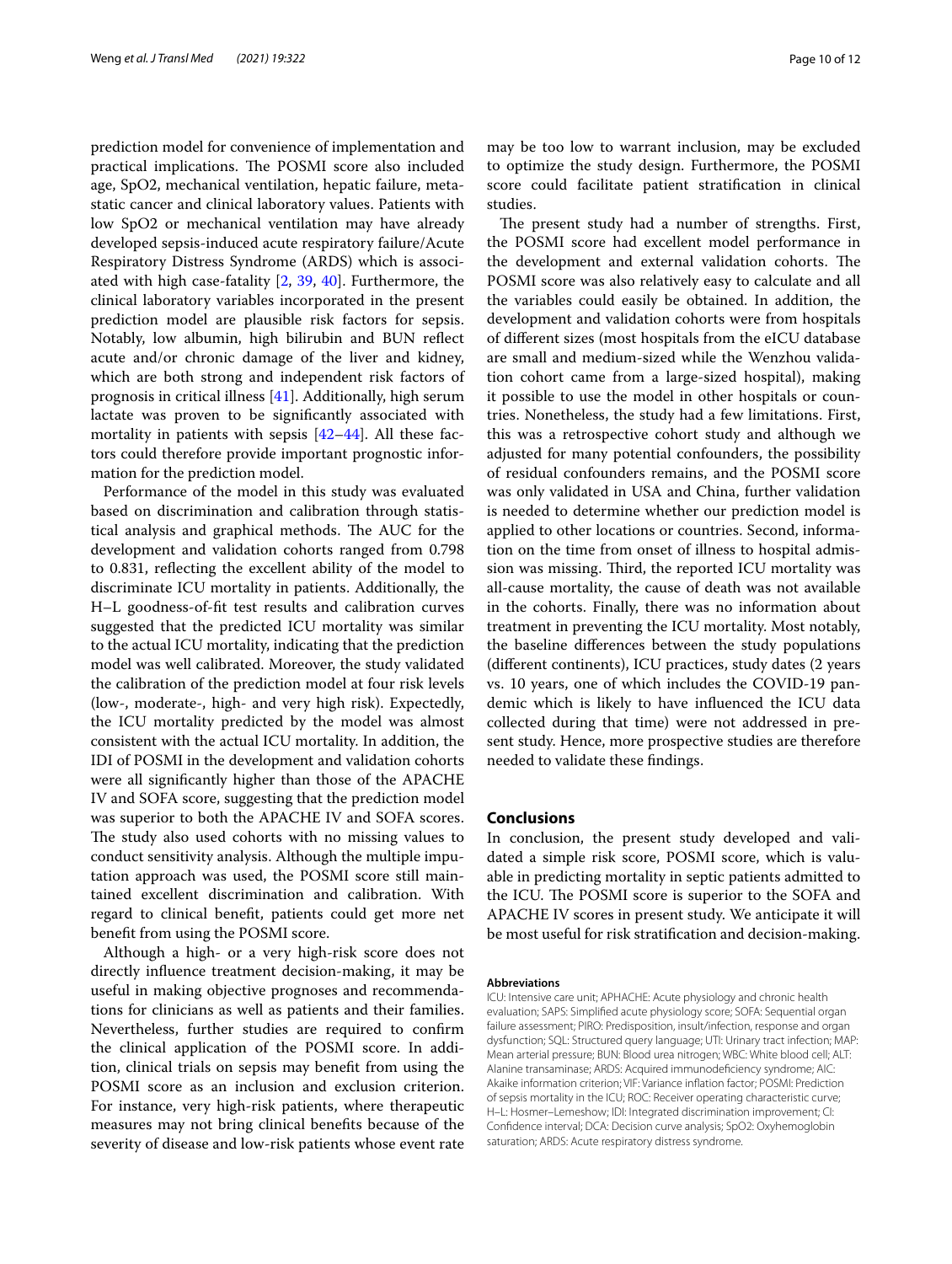prediction model for convenience of implementation and practical implications. The POSMI score also included age, SpO2, mechanical ventilation, hepatic failure, metastatic cancer and clinical laboratory values. Patients with low SpO2 or mechanical ventilation may have already developed sepsis-induced acute respiratory failure/Acute Respiratory Distress Syndrome (ARDS) which is associated with high case-fatality [[2](#page-10-22), [39,](#page-11-13) [40](#page-11-14)]. Furthermore, the clinical laboratory variables incorporated in the present prediction model are plausible risk factors for sepsis. Notably, low albumin, high bilirubin and BUN refect acute and/or chronic damage of the liver and kidney, which are both strong and independent risk factors of prognosis in critical illness [[41](#page-11-15)]. Additionally, high serum lactate was proven to be signifcantly associated with mortality in patients with sepsis [\[42](#page-11-16)[–44](#page-11-17)]. All these factors could therefore provide important prognostic information for the prediction model.

Performance of the model in this study was evaluated based on discrimination and calibration through statistical analysis and graphical methods. The AUC for the development and validation cohorts ranged from 0.798 to 0.831, refecting the excellent ability of the model to discriminate ICU mortality in patients. Additionally, the H–L goodness-of-ft test results and calibration curves suggested that the predicted ICU mortality was similar to the actual ICU mortality, indicating that the prediction model was well calibrated. Moreover, the study validated the calibration of the prediction model at four risk levels (low-, moderate-, high- and very high risk). Expectedly, the ICU mortality predicted by the model was almost consistent with the actual ICU mortality. In addition, the IDI of POSMI in the development and validation cohorts were all signifcantly higher than those of the APACHE IV and SOFA score, suggesting that the prediction model was superior to both the APACHE IV and SOFA scores. The study also used cohorts with no missing values to conduct sensitivity analysis. Although the multiple imputation approach was used, the POSMI score still maintained excellent discrimination and calibration. With regard to clinical beneft, patients could get more net beneft from using the POSMI score.

Although a high- or a very high-risk score does not directly infuence treatment decision-making, it may be useful in making objective prognoses and recommendations for clinicians as well as patients and their families. Nevertheless, further studies are required to confrm the clinical application of the POSMI score. In addition, clinical trials on sepsis may beneft from using the POSMI score as an inclusion and exclusion criterion. For instance, very high-risk patients, where therapeutic measures may not bring clinical benefts because of the severity of disease and low-risk patients whose event rate may be too low to warrant inclusion, may be excluded to optimize the study design. Furthermore, the POSMI score could facilitate patient stratifcation in clinical studies.

The present study had a number of strengths. First, the POSMI score had excellent model performance in the development and external validation cohorts. The POSMI score was also relatively easy to calculate and all the variables could easily be obtained. In addition, the development and validation cohorts were from hospitals of diferent sizes (most hospitals from the eICU database are small and medium-sized while the Wenzhou validation cohort came from a large-sized hospital), making it possible to use the model in other hospitals or countries. Nonetheless, the study had a few limitations. First, this was a retrospective cohort study and although we adjusted for many potential confounders, the possibility of residual confounders remains, and the POSMI score was only validated in USA and China, further validation is needed to determine whether our prediction model is applied to other locations or countries. Second, information on the time from onset of illness to hospital admission was missing. Third, the reported ICU mortality was all-cause mortality, the cause of death was not available in the cohorts. Finally, there was no information about treatment in preventing the ICU mortality. Most notably, the baseline diferences between the study populations (diferent continents), ICU practices, study dates (2 years vs. 10 years, one of which includes the COVID-19 pandemic which is likely to have infuenced the ICU data collected during that time) were not addressed in present study. Hence, more prospective studies are therefore needed to validate these fndings.

# **Conclusions**

In conclusion, the present study developed and validated a simple risk score, POSMI score, which is valuable in predicting mortality in septic patients admitted to the ICU. The POSMI score is superior to the SOFA and APACHE IV scores in present study. We anticipate it will be most useful for risk stratifcation and decision-making.

#### **Abbreviations**

ICU: Intensive care unit; APHACHE: Acute physiology and chronic health evaluation; SAPS: Simplifed acute physiology score; SOFA: Sequential organ failure assessment; PIRO: Predisposition, insult/infection, response and organ dysfunction; SQL: Structured query language; UTI: Urinary tract infection; MAP: Mean arterial pressure; BUN: Blood urea nitrogen; WBC: White blood cell; ALT: Alanine transaminase; ARDS: Acquired immunodefciency syndrome; AIC: Akaike information criterion; VIF: Variance infation factor; POSMI: Prediction of sepsis mortality in the ICU; ROC: Receiver operating characteristic curve; H–L: Hosmer–Lemeshow; IDI: Integrated discrimination improvement; CI: Confdence interval; DCA: Decision curve analysis; SpO2: Oxyhemoglobin saturation; ARDS: Acute respiratory distress syndrome.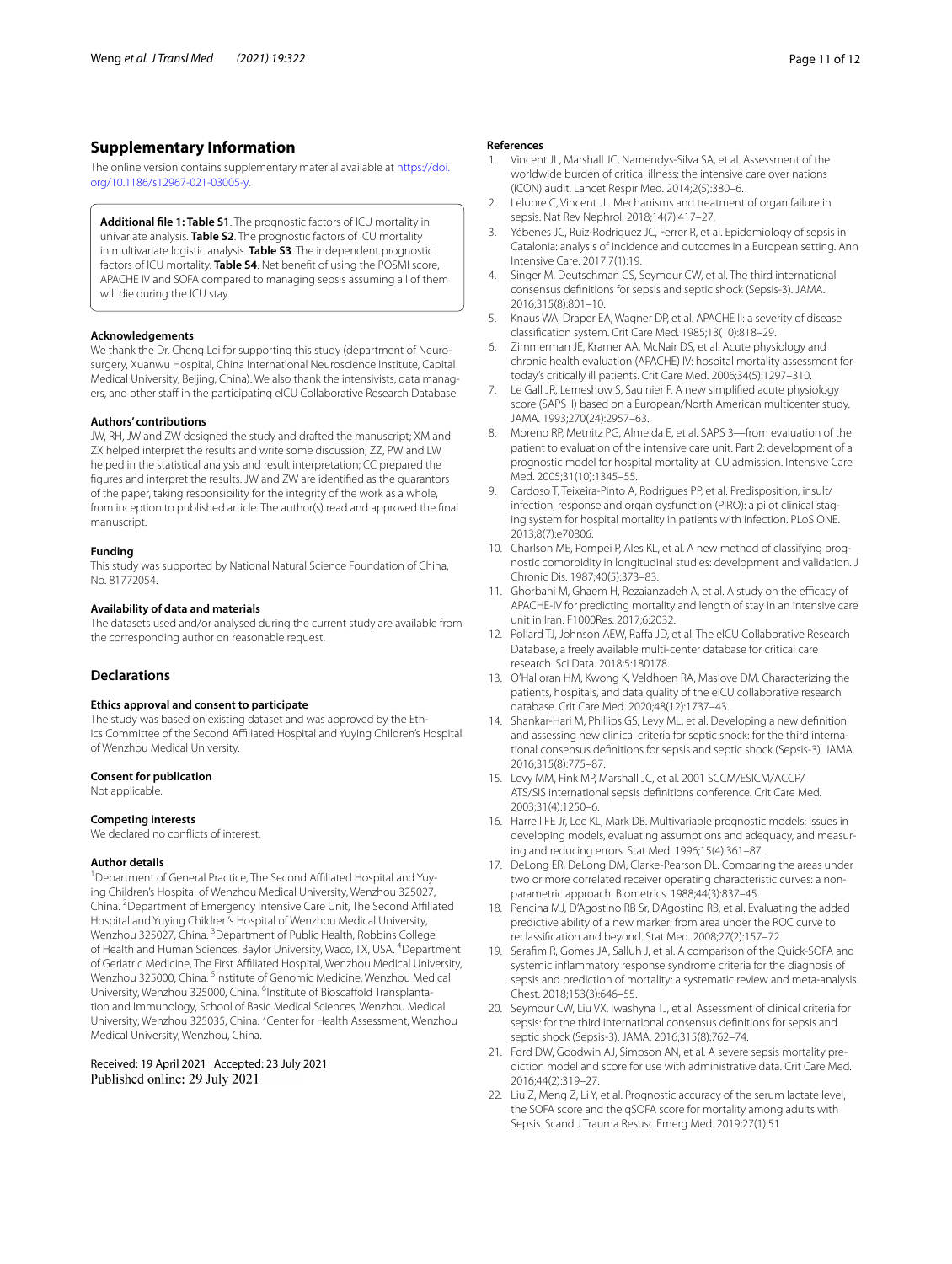# **Supplementary Information**

The online version contains supplementary material available at [https://doi.](https://doi.org/10.1186/s12967-021-03005-y) [org/10.1186/s12967-021-03005-y.](https://doi.org/10.1186/s12967-021-03005-y)

<span id="page-10-17"></span>**Additional fle 1: Table S1**. The prognostic factors of ICU mortality in univariate analysis. **Table S2**. The prognostic factors of ICU mortality in multivariate logistic analysis. **Table S3**. The independent prognostic factors of ICU mortality. **Table S4**. Net beneft of using the POSMI score, APACHE IV and SOFA compared to managing sepsis assuming all of them will die during the ICU stay.

## **Acknowledgements**

We thank the Dr. Cheng Lei for supporting this study (department of Neurosurgery, Xuanwu Hospital, China International Neuroscience Institute, Capital Medical University, Beijing, China). We also thank the intensivists, data managers, and other staff in the participating eICU Collaborative Research Database.

#### **Authors' contributions**

JW, RH, JW and ZW designed the study and drafted the manuscript; XM and ZX helped interpret the results and write some discussion; ZZ, PW and LW helped in the statistical analysis and result interpretation; CC prepared the fgures and interpret the results. JW and ZW are identifed as the guarantors of the paper, taking responsibility for the integrity of the work as a whole, from inception to published article. The author(s) read and approved the fnal manuscript.

#### **Funding**

This study was supported by National Natural Science Foundation of China, No. 81772054.

#### **Availability of data and materials**

The datasets used and/or analysed during the current study are available from the corresponding author on reasonable request.

## **Declarations**

#### **Ethics approval and consent to participate**

The study was based on existing dataset and was approved by the Ethics Committee of the Second Afliated Hospital and Yuying Children's Hospital of Wenzhou Medical University.

#### **Consent for publication**

Not applicable.

#### **Competing interests**

We declared no conficts of interest.

#### **Author details**

<sup>1</sup> Department of General Practice, The Second Affiliated Hospital and Yuying Children's Hospital of Wenzhou Medical University, Wenzhou 325027, China. <sup>2</sup> Department of Emergency Intensive Care Unit, The Second Affiliated Hospital and Yuying Children's Hospital of Wenzhou Medical University, Wenzhou 325027, China. <sup>3</sup> Department of Public Health, Robbins College of Health and Human Sciences, Baylor University, Waco, TX, USA. <sup>4</sup>Department of Geriatric Medicine, The First Afliated Hospital, Wenzhou Medical University, Wenzhou 325000, China. <sup>5</sup>Institute of Genomic Medicine, Wenzhou Medical University, Wenzhou 325000, China. <sup>6</sup>Institute of Bioscaffold Transplantation and Immunology, School of Basic Medical Sciences, Wenzhou Medical University, Wenzhou 325035, China. <sup>7</sup> Center for Health Assessment, Wenzhou Medical University, Wenzhou, China.

Received: 19 April 2021 Accepted: 23 July 2021 Published online: 29 July 2021

#### **References**

- <span id="page-10-0"></span>Vincent JL, Marshall JC, Namendys-Silva SA, et al. Assessment of the worldwide burden of critical illness: the intensive care over nations (ICON) audit. Lancet Respir Med. 2014;2(5):380–6.
- <span id="page-10-22"></span>2. Lelubre C, Vincent JL. Mechanisms and treatment of organ failure in sepsis. Nat Rev Nephrol. 2018;14(7):417–27.
- <span id="page-10-1"></span>3. Yébenes JC, Ruiz-Rodriguez JC, Ferrer R, et al. Epidemiology of sepsis in Catalonia: analysis of incidence and outcomes in a European setting. Ann Intensive Care. 2017;7(1):19.
- <span id="page-10-2"></span>4. Singer M, Deutschman CS, Seymour CW, et al. The third international consensus defnitions for sepsis and septic shock (Sepsis-3). JAMA. 2016;315(8):801–10.
- <span id="page-10-3"></span>5. Knaus WA, Draper EA, Wagner DP, et al. APACHE II: a severity of disease classifcation system. Crit Care Med. 1985;13(10):818–29.
- <span id="page-10-4"></span>6. Zimmerman JE, Kramer AA, McNair DS, et al. Acute physiology and chronic health evaluation (APACHE) IV: hospital mortality assessment for today's critically ill patients. Crit Care Med. 2006;34(5):1297–310.
- <span id="page-10-5"></span>7. Le Gall JR, Lemeshow S, Saulnier F. A new simplifed acute physiology score (SAPS II) based on a European/North American multicenter study. JAMA. 1993;270(24):2957–63.
- <span id="page-10-6"></span>8. Moreno RP, Metnitz PG, Almeida E, et al. SAPS 3—from evaluation of the patient to evaluation of the intensive care unit. Part 2: development of a prognostic model for hospital mortality at ICU admission. Intensive Care Med. 2005;31(10):1345–55.
- <span id="page-10-7"></span>9. Cardoso T, Teixeira-Pinto A, Rodrigues PP, et al. Predisposition, insult/ infection, response and organ dysfunction (PIRO): a pilot clinical staging system for hospital mortality in patients with infection. PLoS ONE. 2013;8(7):e70806.
- <span id="page-10-8"></span>10. Charlson ME, Pompei P, Ales KL, et al. A new method of classifying prognostic comorbidity in longitudinal studies: development and validation. J Chronic Dis. 1987;40(5):373–83.
- <span id="page-10-9"></span>11. Ghorbani M, Ghaem H, Rezaianzadeh A, et al. A study on the efficacy of APACHE-IV for predicting mortality and length of stay in an intensive care unit in Iran. F1000Res. 2017;6:2032.
- <span id="page-10-10"></span>12. Pollard TJ, Johnson AEW, Raffa JD, et al. The eICU Collaborative Research Database, a freely available multi-center database for critical care research. Sci Data. 2018;5:180178.
- <span id="page-10-11"></span>13. O'Halloran HM, Kwong K, Veldhoen RA, Maslove DM. Characterizing the patients, hospitals, and data quality of the eICU collaborative research database. Crit Care Med. 2020;48(12):1737–43.
- <span id="page-10-12"></span>14. Shankar-Hari M, Phillips GS, Levy ML, et al. Developing a new defnition and assessing new clinical criteria for septic shock: for the third international consensus defnitions for sepsis and septic shock (Sepsis-3). JAMA. 2016;315(8):775–87.
- <span id="page-10-13"></span>15. Levy MM, Fink MP, Marshall JC, et al. 2001 SCCM/ESICM/ACCP/ ATS/SIS international sepsis defnitions conference. Crit Care Med. 2003;31(4):1250–6.
- <span id="page-10-14"></span>16. Harrell FE Jr, Lee KL, Mark DB. Multivariable prognostic models: issues in developing models, evaluating assumptions and adequacy, and measuring and reducing errors. Stat Med. 1996;15(4):361–87.
- <span id="page-10-15"></span>17. DeLong ER, DeLong DM, Clarke-Pearson DL. Comparing the areas under two or more correlated receiver operating characteristic curves: a nonparametric approach. Biometrics. 1988;44(3):837–45.
- <span id="page-10-16"></span>18. Pencina MJ, D'Agostino RB Sr, D'Agostino RB, et al. Evaluating the added predictive ability of a new marker: from area under the ROC curve to reclassifcation and beyond. Stat Med. 2008;27(2):157–72.
- <span id="page-10-18"></span>19. Serafm R, Gomes JA, Salluh J, et al. A comparison of the Quick-SOFA and systemic infammatory response syndrome criteria for the diagnosis of sepsis and prediction of mortality: a systematic review and meta-analysis. Chest. 2018;153(3):646–55.
- <span id="page-10-20"></span>20. Seymour CW, Liu VX, Iwashyna TJ, et al. Assessment of clinical criteria for sepsis: for the third international consensus defnitions for sepsis and septic shock (Sepsis-3). JAMA. 2016;315(8):762–74.
- <span id="page-10-19"></span>21. Ford DW, Goodwin AJ, Simpson AN, et al. A severe sepsis mortality prediction model and score for use with administrative data. Crit Care Med. 2016;44(2):319–27.
- <span id="page-10-21"></span>22. Liu Z, Meng Z, Li Y, et al. Prognostic accuracy of the serum lactate level, the SOFA score and the qSOFA score for mortality among adults with Sepsis. Scand J Trauma Resusc Emerg Med. 2019;27(1):51.